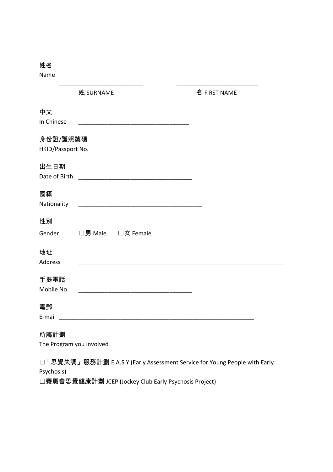Name

|                          | 姓 SURNAME                                                                | 名 FIRST NAME |
|--------------------------|--------------------------------------------------------------------------|--------------|
| 中文                       |                                                                          |              |
| In Chinese               |                                                                          |              |
| 身份證/護照號碼                 |                                                                          |              |
| HKID/Passport No.        |                                                                          |              |
| 出生日期                     |                                                                          |              |
| Date of Birth            |                                                                          |              |
| 國籍                       |                                                                          |              |
| Nationality              |                                                                          |              |
| 性別                       |                                                                          |              |
| Gender                   | □男 Male □女 Female                                                        |              |
| 地址                       |                                                                          |              |
| Address                  |                                                                          |              |
| 手提電話                     |                                                                          |              |
| Mobile No.               |                                                                          |              |
| 電郵                       |                                                                          |              |
| E-mail                   |                                                                          |              |
| 所屬計劃                     |                                                                          |              |
| The Program you involved |                                                                          |              |
|                          | 「思覺失調」服務計劃 E.A.S.Y (Early Assessment Service for Young People with Early |              |
| Psychosis)               |                                                                          |              |

☐賽馬會思覺健康計劃 JCEP (Jockey Club Early Psychosis Project)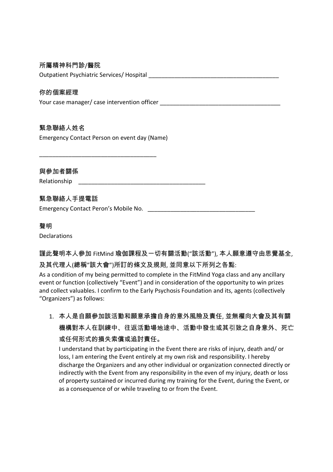# 所屬精神科門診/醫院

Outpatient Psychiatric Services/ Hospital

### 你的個案經理

Your case manager/ case intervention officer **EXACTS** 

# 緊急聯絡人姓名

Emergency Contact Person on event day (Name)

\_\_\_\_\_\_\_\_\_\_\_\_\_\_\_\_\_\_\_\_\_\_\_\_\_\_\_\_\_\_\_\_\_\_\_\_

與參加者關係 Relationship

# 緊急聯絡人手提電話

Emergency Contact Peron's Mobile No. \_\_\_\_\_\_\_\_\_\_\_\_\_\_\_\_\_\_\_\_\_\_\_\_\_\_\_\_\_\_\_\_\_

#### 聲明

Declarations

謹此聲明本人參加 FitMind 瑜伽課程及一切有關活動("該活動"), 本人願意遵守由思覺基全, 及其代理人(總稱"該大會")所訂的條文及規則, 並同意以下所列之各點:

As a condition of my being permitted to complete in the FitMind Yoga class and any ancillary event or function (collectively "Event") and in consideration of the opportunity to win prizes and collect valuables. I confirm to the Early Psychosis Foundation and its, agents (collectively "Organizers") as follows:

1. 本人是自願參加該活動和願意承擔自身的意外風險及責任, 並無權向大會及其有關 機構對本人在訓練中、往返活動場地途中、活動中發生或其引致之自身意外、死亡 或任何形式的損失索償或追討責任。

I understand that by participating in the Event there are risks of injury, death and/ or loss, I am entering the Event entirely at my own risk and responsibility. I hereby discharge the Organizers and any other individual or organization connected directly or indirectly with the Event from any responsibility in the even of my injury, death or loss of property sustained or incurred during my training for the Event, during the Event, or as a consequence of or while traveling to or from the Event.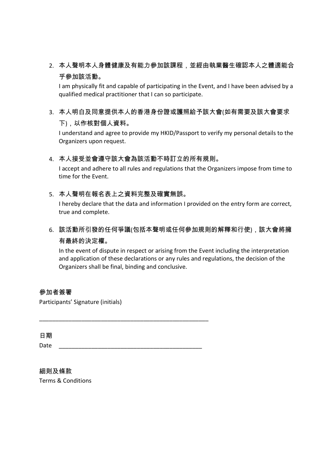2. 本人聲明本人身體健康及有能力參加該課程,並經由執業醫生確認本人之體適能合 乎參加該活動。

I am physically fit and capable of participating in the Event, and I have been advised by a qualified medical practitioner that I can so participate.

3. 本人明白及同意提供本人的香港身份證或護照給予該大會(如有需要及該大會要求 下),以作核對個人資料。

I understand and agree to provide my HKID/Passport to verify my personal details to the Organizers upon request.

# 4. 本人接受並會遵守該大會為該活動不時訂立的所有規則。

I accept and adhere to all rules and regulations that the Organizers impose from time to time for the Event.

# 5. 本人聲明在報名表上之資料完整及確實無誤。

I hereby declare that the data and information I provided on the entry form are correct, true and complete.

6. 該活動所引發的任何爭議(包括本聲明或任何參加規則的解釋和行使),該大會將擁 有最終的決定權。

In the event of dispute in respect or arising from the Event including the interpretation and application of these declarations or any rules and regulations, the decision of the Organizers shall be final, binding and conclusive.

# 參加者簽署

Participants' Signature (initials)

日期 Date \_\_\_\_\_\_\_\_\_\_\_\_\_\_\_\_\_\_\_\_\_\_\_\_\_\_\_\_\_\_\_\_\_\_\_\_\_\_\_\_\_\_\_\_

\_\_\_\_\_\_\_\_\_\_\_\_\_\_\_\_\_\_\_\_\_\_\_\_\_\_\_\_\_\_\_\_\_\_\_\_\_\_\_\_\_\_\_\_\_\_\_\_\_\_\_\_

細則及條款 Terms & Conditions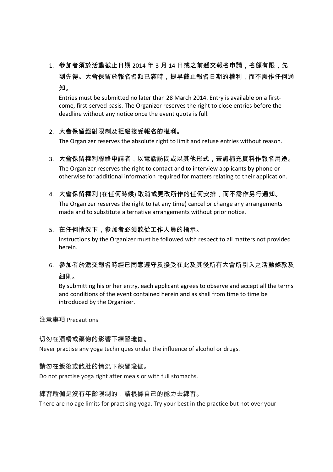1. 參加者須於活動截止日期 2014 年 3 月 14 日或之前遞交報名申請, 名額有限, 先 到先得。大會保留於報名名額已滿時,提早截止報名日期的權利,而不需作任何通 知。

Entries must be submitted no later than 28 March 2014. Entry is available on a firstcome, first-served basis. The Organizer reserves the right to close entries before the deadline without any notice once the event quota is full.

# 2. 大會保留絕對限制及拒絕接受報名的權利。

The Organizer reserves the absolute right to limit and refuse entries without reason.

- 3. 大會保留權利聯絡申請者,以電話訪問或以其他形式,査詢補充資料作報名用途。 The Organizer reserves the right to contact and to interview applicants by phone or otherwise for additional information required for matters relating to their application.
- 4. 大會保留權利 (在任何時候) 取消或更改所作的任何安排,而不需作另行通知。 The Organizer reserves the right to (at any time) cancel or change any arrangements made and to substitute alternative arrangements without prior notice.

#### 5. 在任何情況下,參加者必須聽從工作人員的指示。

Instructions by the Organizer must be followed with respect to all matters not provided herein.

6. 參加者於遞交報名時經已同意遵守及接受在此及其後所有大會所引入之活動條款及 細則。

By submitting his or her entry, each applicant agrees to observe and accept all the terms and conditions of the event contained herein and as shall from time to time be introduced by the Organizer.

#### 注意事項 Precautions

#### 切勿在酒精或藥物的影響下練習瑜伽。

Never practise any yoga techniques under the influence of alcohol or drugs.

#### 請勿在飯後或飽肚的情況下練習瑜伽。

Do not practise yoga right after meals or with full stomachs.

#### 練習瑜伽是沒有年齡限制的,請根據自己的能力去練習。

There are no age limits for practising yoga. Try your best in the practice but not over your